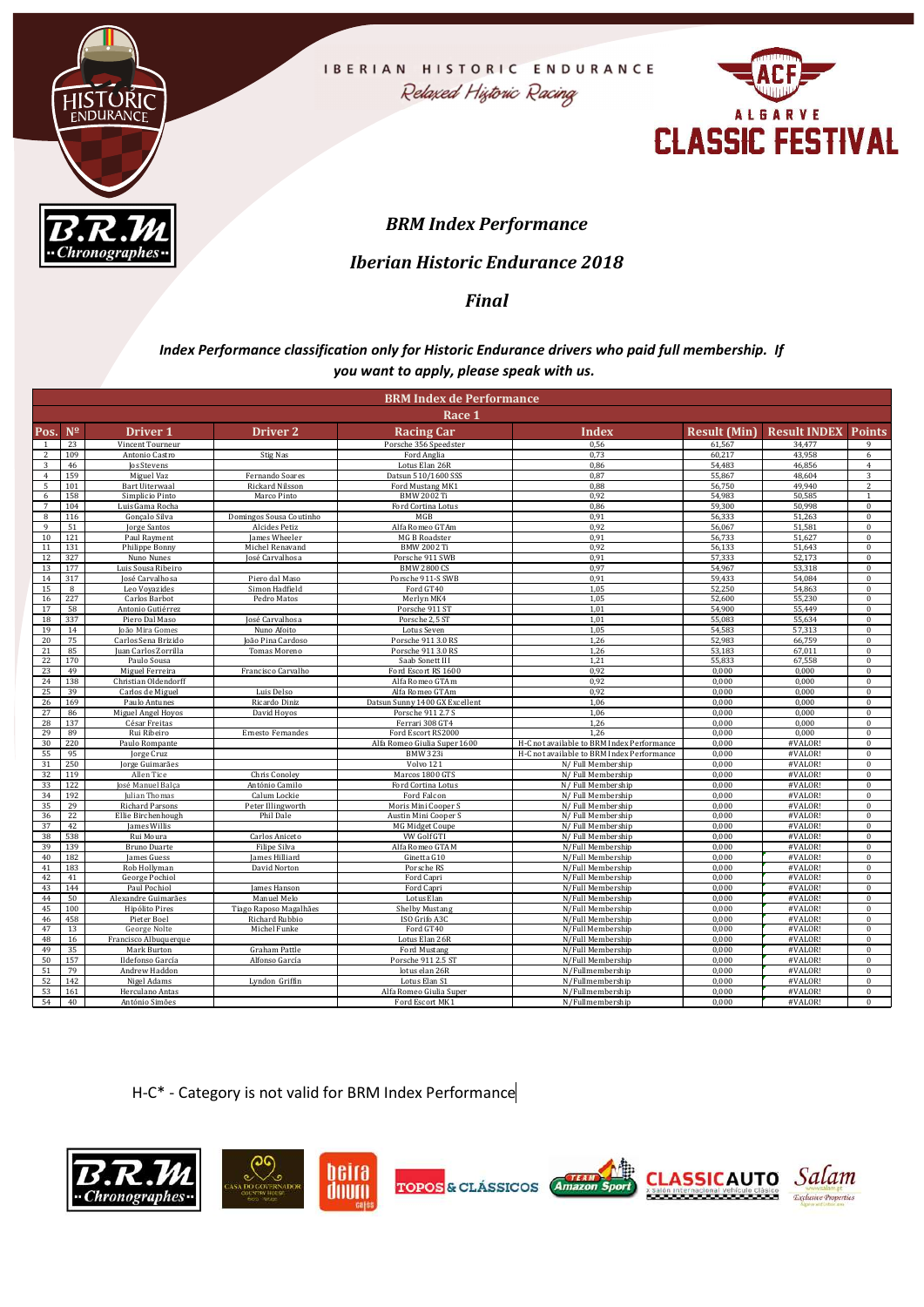



## BRM Index Performance

### Iberian Historic Endurance 2018

### Final

#### Index Performance classification only for Historic Endurance drivers who paid full membership. If you want to apply, please speak with us.

|                                                        |                                                                   | FNDURANCI                                       | Relaxed Historic Racing<br><b>ALGARVE</b><br><b>CLASSIC FESTIVAL</b> |                                                                                                                                                                                  |                                                                 |                  |                                            |                              |  |
|--------------------------------------------------------|-------------------------------------------------------------------|-------------------------------------------------|----------------------------------------------------------------------|----------------------------------------------------------------------------------------------------------------------------------------------------------------------------------|-----------------------------------------------------------------|------------------|--------------------------------------------|------------------------------|--|
|                                                        |                                                                   | $\overline{B.R.M}$<br>hronographes <del>-</del> |                                                                      | <b>BRM Index Performance</b><br><b>Iberian Historic Endurance 2018</b><br><b>Final</b>                                                                                           |                                                                 |                  |                                            |                              |  |
|                                                        |                                                                   |                                                 |                                                                      | Index Performance classification only for Historic Endurance drivers who paid full membership. If<br>you want to apply, please speak with us.<br><b>BRM Index de Performance</b> |                                                                 |                  |                                            |                              |  |
|                                                        |                                                                   |                                                 |                                                                      | Race 1                                                                                                                                                                           |                                                                 |                  |                                            |                              |  |
| Pos. Nº<br>1                                           | 23                                                                | Driver 1<br>Vincent Tourneur                    | <b>Driver 2</b>                                                      | <b>Racing Car</b><br>Porsche 356 Speedster                                                                                                                                       | <b>Index</b><br>0,56                                            | 61,567           | Result (Min) Result INDEX Points<br>34,477 | 9                            |  |
| $\frac{2}{ }$<br>$\overline{3}$                        | 109<br>46                                                         | Antonio Castro<br>Jos Stevens                   | Stig Nas                                                             | Ford Anglia<br>Lotus Elan 26R                                                                                                                                                    | 0,73<br>0,86                                                    | 60,217<br>54,483 | 43,958<br>46,856                           | 6<br>$\overline{4}$          |  |
| 4                                                      | 159                                                               | Miguel Vaz                                      | Fernando Soares                                                      | Datsun 510/1600 SSS                                                                                                                                                              | 0,87                                                            | 55,867           | 48,604                                     | $\overline{3}$               |  |
| $5\overline{5}$<br>6                                   | 101<br>158                                                        | <b>Bart Uiterwaal</b><br>Simplicio Pinto        | Rickard Nilsson<br>Marco Pinto                                       | Ford Mustang MK1<br><b>BMW 2002 Ti</b>                                                                                                                                           | 0,88<br>0,92                                                    | 56,750<br>54,983 | 49,940<br>50,585                           | 2<br>$\overline{1}$          |  |
| 7<br>8                                                 | 104<br>116                                                        | Luis Gama Rocha<br>Gonçalo Silva                | Domingos Sousa Coutinho                                              | Ford Cortina Lotus<br>MGB                                                                                                                                                        | 0,86<br>0,91                                                    | 59,300<br>56,333 | 50,998<br>51,263                           | $\bf{0}$<br>$\boldsymbol{0}$ |  |
| 9                                                      | 51                                                                | Jorge Santos                                    | Alcides Petiz                                                        | Alfa Romeo GTAm                                                                                                                                                                  | 0,92                                                            | 56,067           | 51,581                                     | $\bf{0}$                     |  |
| 10<br>11                                               | 121<br>131                                                        | Paul Rayment<br>Philippe Bonny                  | James Wheeler<br>Michel Renavano                                     | MG B Roadster<br><b>BMW 2002 Ti</b>                                                                                                                                              | 0,91<br>0,92                                                    | 56,733<br>56,133 | 51,627<br>51,643                           | $\bf{0}$<br>$\bf{0}$         |  |
|                                                        | 12 327                                                            | Nuno Nunes                                      | José Carvalhosa                                                      | Porsche 911 SWB                                                                                                                                                                  | 0,91                                                            | 57,333           | 52,173                                     | $\bf{0}$                     |  |
|                                                        | 13 177<br>14 317                                                  | Luis Sousa Ribeiro<br>José Carvalhosa           | Piero dal Maso                                                       | <b>BMW 2800 CS</b><br>Porsche 911-S SWB                                                                                                                                          | 0,97<br>0,91                                                    | 54,967<br>59,433 | 53,318<br>54,084                           | $\bf{0}$<br>$\bf{0}$         |  |
| 15<br>16                                               | 8<br>227                                                          | Leo Voyazides<br>Carlos Barbot                  | Simon Hadfield<br>Pedro Matos                                        | Ford GT40<br>Merlyn MK4                                                                                                                                                          | 1,05<br>1,05                                                    | 52,250<br>52,600 | 54,863<br>55,230                           | $\bf{0}$<br>$\bf{0}$         |  |
| 17                                                     | 58                                                                | Antonio Gutiérrez                               |                                                                      | Porsche 911 ST                                                                                                                                                                   | 1,01                                                            | 54,900           | 55,449                                     | $\bf{0}$                     |  |
| 18<br>19                                               | 337<br>14                                                         | Piero Dal Maso<br><b>João Mira Gomes</b>        | José Carvalhosa<br>Nuno Afoito                                       | Porsche 2,5 ST<br>Lotus Seven                                                                                                                                                    | 1,01<br>1,05                                                    | 55,083<br>54,583 | 55,634<br>57,313                           | $\bf{0}$<br>$\bf{0}$         |  |
| 20                                                     | 75                                                                | Carlos Sena Brizido<br>Juan Carlos Zorrilla     | João Pina Cardoso                                                    | Porsche 911 3.0 RS                                                                                                                                                               | 1,26<br>1,26                                                    | 52,983           | 66,759                                     | $\bf{0}$<br>$\bf{0}$         |  |
| 21                                                     | 85<br>22 170                                                      | Paulo Sousa                                     | Tomas Moreno                                                         | Porsche 911 3.0 RS<br>Saab Sonett III                                                                                                                                            | 1,21                                                            | 53,183<br>55,833 | 67,011<br>67,558                           | $\bf{0}$                     |  |
| 24                                                     | $23 \mid 49$<br>138                                               | Miguel Ferreira<br>Christian Oldendorff         | Francisco Carvalho                                                   | Ford Escort RS 1600<br>Alfa Romeo GTAm                                                                                                                                           | 0,92<br>0,92                                                    | 0,000<br>0,000   | 0,000<br>0,000                             | $\bf{0}$<br>$\bf{0}$         |  |
| 25                                                     | 39                                                                | Carlos de Miguel                                | Luis Delso                                                           | Alfa Romeo GTAm                                                                                                                                                                  | 0,92                                                            | 0,000            | 0,000                                      | $\bf{0}$                     |  |
| 26<br>27                                               | 169<br>86                                                         | Paulo Antunes<br>Miguel Angel Hoyos             | Ricardo Diniz<br>David Hoyos                                         | Datsun Sunny 1400 GX Excellent<br>Porsche 911 2.7 S                                                                                                                              | 1,06<br>1,06                                                    | 0,000<br>0,000   | 0.000<br>0.000                             | $\bf{0}$<br>$\bf{0}$         |  |
| $\begin{array}{c c}\n28 & 137 \\ 29 & 89\n\end{array}$ |                                                                   | César Freitas<br>Rui Ribeiro                    | Ernesto Fernandes                                                    | Ferrari 308 GT4<br>Ford Escort RS2000                                                                                                                                            | 1,26                                                            | 0,000<br>0,000   | 0,000<br>0,000                             | $\bf{0}$                     |  |
| 30                                                     | 220                                                               | Paulo Rompante                                  |                                                                      | Alfa Romeo Giulia Super 1600                                                                                                                                                     | H-C not available to BRM Index Performance                      | 0,000            | #VALOR                                     | $\bf{0}$                     |  |
| 55 95<br>$\frac{31}{31}$                               | 250                                                               | Jorge Cruz<br>Jorge Guimarães                   |                                                                      | <b>BMW 323i</b><br>Volvo 121                                                                                                                                                     | H-C not available to BRM Index Performance<br>N/Full Membership | 0,000<br>0,000   | #VALOR!<br>#VALOR!                         | $\bf{0}$<br>$\bf{0}$         |  |
|                                                        | $\begin{array}{r cc} 32 & 119 \\ \hline 33 & 122 \end{array}$     | Allen Tice<br>José Manuel Balca                 | Chris Conoley<br>António Camilo                                      | Marcos 1800 GTS<br>Ford Cortina Lotus                                                                                                                                            | N/Full Membership                                               | 0,000<br>0,000   | #VALOR!<br>#VALOR!                         | $\bf{0}$<br>$\bf{0}$         |  |
| 34                                                     | 192                                                               | Julian Thomas                                   | Calum Lockie                                                         | Ford Falcon                                                                                                                                                                      | N/Full Membership<br>N/Full Membership                          | 0,000            | #VALOR!                                    | $\bf{0}$                     |  |
| $\frac{35}{36}$                                        | 29<br>22                                                          | <b>Richard Parsons</b><br>Ellie Birchenhough    | Peter Illingworth<br>Phil Dale                                       | Moris Mini Cooper S<br>Austin Mini Cooper S                                                                                                                                      | N/Full Membership<br>N/Full Membership                          | 0,000<br>0,000   | #VALOR!<br>#VALOR!                         | $\bf{0}$<br>$\bf{0}$         |  |
| 37                                                     | 42                                                                | James Willis                                    |                                                                      | MG Midget Coupe                                                                                                                                                                  | N/Full Membership                                               | 0,000            | #VALOR                                     | $\bf{0}$                     |  |
| 38                                                     | 538<br>39 139                                                     | Rui Moura<br>Bruno Duarte                       | Carlos Aniceto<br>Filipe Silva                                       | VW Golf GTI<br>Alfa Romeo GTAM                                                                                                                                                   | N/Full Membership<br>N/Full Membership                          | 0,000<br>0,000   | #VALOR!<br>#VALOR!                         | $\overline{0}$<br>$\bf{0}$   |  |
| 40                                                     | 182                                                               | James Guess                                     | James Hilliard                                                       | Ginetta G10                                                                                                                                                                      | N/Full Membership                                               | 0,000            | #VALOR!                                    | $\bf{0}$                     |  |
| 41<br>42                                               | 183<br>41                                                         | Rob Hollyman<br>George Pochiol                  | David Norton                                                         | Porsche RS<br>Ford Capri                                                                                                                                                         | N/Full Membership<br>N/Full Membership                          | 0,000<br>0,000   | #VALOR<br>#VALOR                           | $\overline{0}$<br>$\bf{0}$   |  |
| 43<br>44                                               | 144<br>50                                                         | Paul Pochiol<br>Alexandre Guimarães             | James Hanson<br>Manuel Melo                                          | Ford Capri<br>Lotus Elan                                                                                                                                                         | N/Full Membership<br>N/Full Membership                          | 0,000<br>0,000   | #VALOR!<br>#VALOR!                         | $\bf{0}$<br>$\bf{0}$         |  |
| 45                                                     | 100                                                               | Hipólito Pires                                  | Tiago Raposo Magalhães                                               | <b>Shelby Mustang</b>                                                                                                                                                            | N/Full Membership                                               | 0,000            | #VALOR!                                    | $\bf{0}$                     |  |
| 46<br>47                                               | 458<br>13                                                         | Pieter Boel<br>George Nolte                     | Richard Rubbio<br>Michel Funke                                       | ISO Grifo A3C<br>Ford GT40                                                                                                                                                       | N/Full Membership<br>N/Full Membership                          | 0,000<br>0,000   | #VALOR!<br>#VALOR                          | $\bf{0}$<br>$\bf{0}$         |  |
| 48                                                     | 16                                                                | Francisco Albuquerque                           |                                                                      | Lotus Elan 26R                                                                                                                                                                   | N/Full Membership                                               | 0,000            | #VALOR                                     | $\bf{0}$                     |  |
| 49<br>50                                               | 35<br>157                                                         | Mark Burton<br>Ildefonso García                 | Graham Pattle<br>Alfonso García                                      | Ford Mustang<br>Porsche 911 2.5 ST                                                                                                                                               | N/Full Membership<br>N/Full Membership                          | 0,000<br>0,000   | #VALOR<br>#VALOR!                          | $\bf{0}$<br>$\bf{0}$         |  |
| 51                                                     | 79                                                                | Andrew Haddon                                   |                                                                      | lotus elan 26R                                                                                                                                                                   | N/Fullmembership                                                | 0,000            | #VALOR!                                    | $\bf{0}$                     |  |
|                                                        | 52 142<br>$\begin{array}{c cc}\n53 & 161 \\ 54 & 40\n\end{array}$ | Nigel Adams<br>Herculano Antas                  | Lyndon Griffin                                                       | Lotus Elan S1<br>Alfa Romeo Giulia Super                                                                                                                                         | N/Fullmembership<br>N/Fullmembership                            | 0,000<br>0,000   | #VALOR!<br>#VALOR!                         | $\bf{0}$<br>$\bf{0}$         |  |
|                                                        |                                                                   | António Simões                                  |                                                                      | Ford Escort MK1                                                                                                                                                                  | N/Fullmembership                                                | 0,000            | #VALOR!                                    | $\bf{0}$                     |  |

H-C\* - Category is not valid for BRM Index Performance